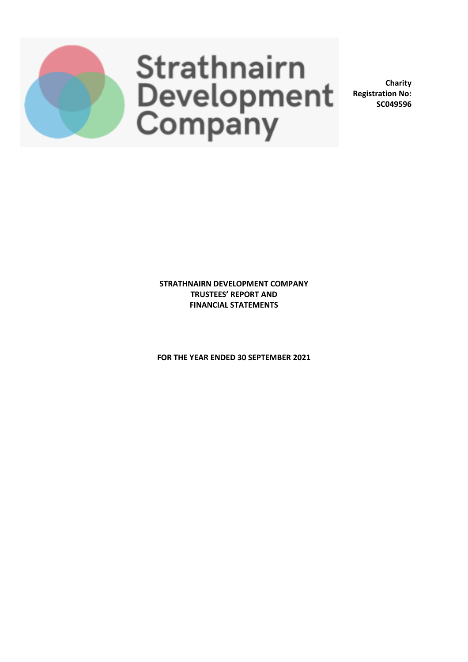

**Charity Registration No: SC049596**

**STRATHNAIRN DEVELOPMENT COMPANY TRUSTEES' REPORT AND FINANCIAL STATEMENTS**

**FOR THE YEAR ENDED 30 SEPTEMBER 2021**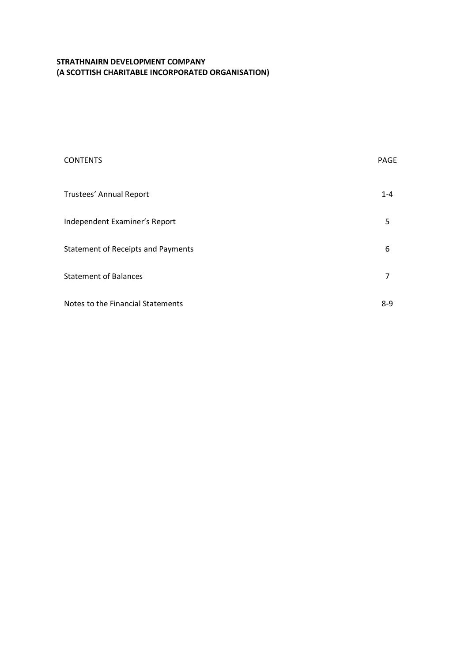| <b>CONTENTS</b>                           | PAGE    |
|-------------------------------------------|---------|
| Trustees' Annual Report                   | $1 - 4$ |
| Independent Examiner's Report             | 5       |
| <b>Statement of Receipts and Payments</b> | 6       |
| <b>Statement of Balances</b>              | 7       |
| Notes to the Financial Statements         | $8 - 9$ |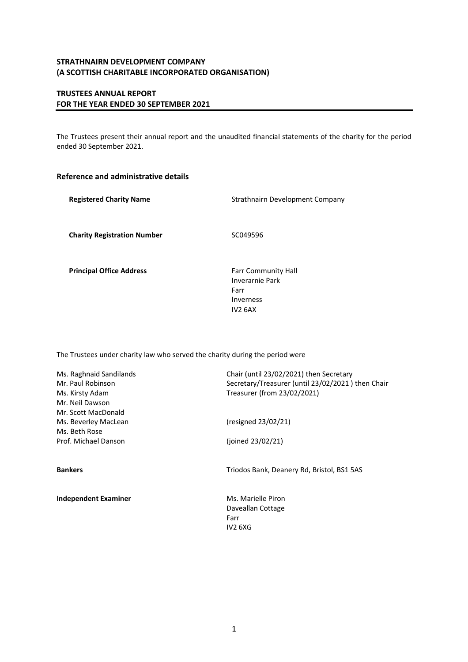# **TRUSTEES ANNUAL REPORT FOR THE YEAR ENDED 30 SEPTEMBER 2021**

The Trustees present their annual report and the unaudited financial statements of the charity for the period ended 30 September 2021.

## **Reference and administrative details**

| <b>Registered Charity Name</b>     | Strathnairn Development Company                                                           |  |  |
|------------------------------------|-------------------------------------------------------------------------------------------|--|--|
| <b>Charity Registration Number</b> | SC049596                                                                                  |  |  |
| <b>Principal Office Address</b>    | <b>Farr Community Hall</b><br>Inverarnie Park<br>Farr<br>Inverness<br>IV <sub>2</sub> 6AX |  |  |

The Trustees under charity law who served the charity during the period were

| Ms. Raghnaid Sandilands<br>Mr. Paul Robinson<br>Ms. Kirsty Adam<br>Mr. Neil Dawson   | Chair (until 23/02/2021) then Secretary<br>Secretary/Treasurer (until 23/02/2021) then Chair<br>Treasurer (from 23/02/2021) |
|--------------------------------------------------------------------------------------|-----------------------------------------------------------------------------------------------------------------------------|
| Mr. Scott MacDonald<br>Ms. Beverley MacLean<br>Ms. Beth Rose<br>Prof. Michael Danson | (resigned 23/02/21)<br>(joined 23/02/21)                                                                                    |
| <b>Bankers</b>                                                                       | Triodos Bank, Deanery Rd, Bristol, BS1 5AS                                                                                  |

**Independent Examiner** Ms. Marielle Piron Daveallan Cottage Farr IV2 6XG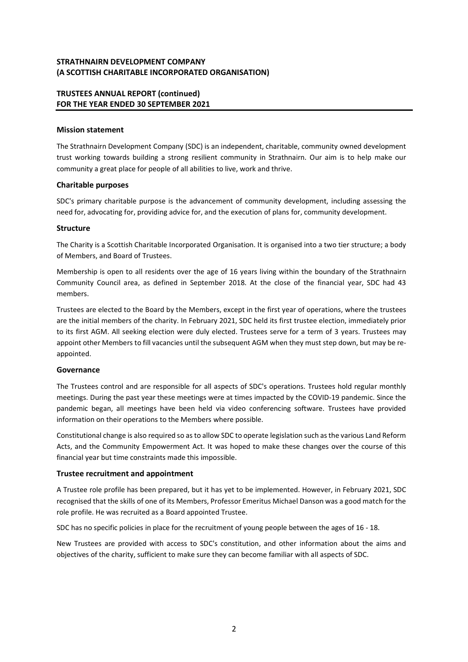## **TRUSTEES ANNUAL REPORT (continued) FOR THE YEAR ENDED 30 SEPTEMBER 2021**

## **Mission statement**

The Strathnairn Development Company (SDC) is an independent, charitable, community owned development trust working towards building a strong resilient community in Strathnairn. Our aim is to help make our community a great place for people of all abilities to live, work and thrive.

## **Charitable purposes**

SDC's primary charitable purpose is the advancement of community development, including assessing the need for, advocating for, providing advice for, and the execution of plans for, community development.

## **Structure**

The Charity is a Scottish Charitable Incorporated Organisation. It is organised into a two tier structure; a body of Members, and Board of Trustees.

Membership is open to all residents over the age of 16 years living within the boundary of the Strathnairn Community Council area, as defined in September 2018. At the close of the financial year, SDC had 43 members.

Trustees are elected to the Board by the Members, except in the first year of operations, where the trustees are the initial members of the charity. In February 2021, SDC held its first trustee election, immediately prior to its first AGM. All seeking election were duly elected. Trustees serve for a term of 3 years. Trustees may appoint other Members to fill vacancies until the subsequent AGM when they must step down, but may be reappointed.

### **Governance**

The Trustees control and are responsible for all aspects of SDC's operations. Trustees hold regular monthly meetings. During the past year these meetings were at times impacted by the COVID-19 pandemic. Since the pandemic began, all meetings have been held via video conferencing software. Trustees have provided information on their operations to the Members where possible.

Constitutional change is also required so asto allow SDC to operate legislation such asthe various Land Reform Acts, and the Community Empowerment Act. It was hoped to make these changes over the course of this financial year but time constraints made this impossible.

## **Trustee recruitment and appointment**

A Trustee role profile has been prepared, but it has yet to be implemented. However, in February 2021, SDC recognised that the skills of one of its Members, Professor Emeritus Michael Danson was a good match for the role profile. He was recruited as a Board appointed Trustee.

SDC has no specific policies in place for the recruitment of young people between the ages of 16 - 18.

New Trustees are provided with access to SDC's constitution, and other information about the aims and objectives of the charity, sufficient to make sure they can become familiar with all aspects of SDC.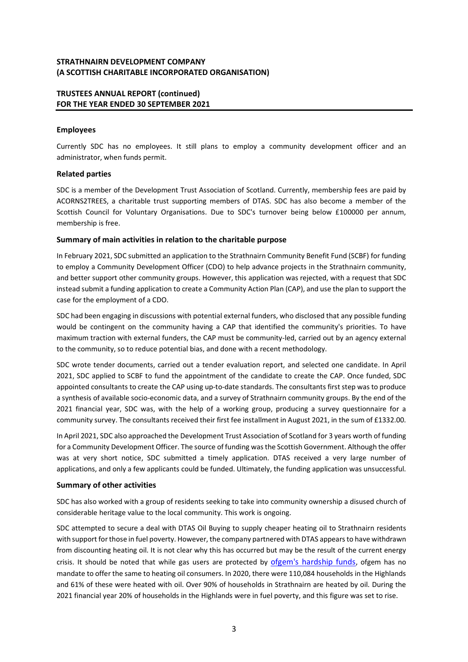## **TRUSTEES ANNUAL REPORT (continued) FOR THE YEAR ENDED 30 SEPTEMBER 2021**

## **Employees**

Currently SDC has no employees. It still plans to employ a community development officer and an administrator, when funds permit.

## **Related parties**

SDC is a member of the Development Trust Association of Scotland. Currently, membership fees are paid by ACORNS2TREES, a charitable trust supporting members of DTAS. SDC has also become a member of the Scottish Council for Voluntary Organisations. Due to SDC's turnover being below £100000 per annum, membership is free.

## **Summary of main activities in relation to the charitable purpose**

In February 2021, SDC submitted an application to the Strathnairn Community Benefit Fund (SCBF) for funding to employ a Community Development Officer (CDO) to help advance projects in the Strathnairn community, and better support other community groups. However, this application was rejected, with a request that SDC instead submit a funding application to create a Community Action Plan (CAP), and use the plan to support the case for the employment of a CDO.

SDC had been engaging in discussions with potential external funders, who disclosed that any possible funding would be contingent on the community having a CAP that identified the community's priorities. To have maximum traction with external funders, the CAP must be community-led, carried out by an agency external to the community, so to reduce potential bias, and done with a recent methodology.

SDC wrote tender documents, carried out a tender evaluation report, and selected one candidate. In April 2021, SDC applied to SCBF to fund the appointment of the candidate to create the CAP. Once funded, SDC appointed consultants to create the CAP using up-to-date standards. The consultants first step was to produce a synthesis of available socio-economic data, and a survey of Strathnairn community groups. By the end of the 2021 financial year, SDC was, with the help of a working group, producing a survey questionnaire for a community survey. The consultants received their first fee installment in August 2021, in the sum of £1332.00.

In April 2021, SDC also approached the Development Trust Association of Scotland for 3 years worth of funding for a Community Development Officer. The source of funding wasthe Scottish Government. Although the offer was at very short notice, SDC submitted a timely application. DTAS received a very large number of applications, and only a few applicants could be funded. Ultimately, the funding application was unsuccessful.

## **Summary of other activities**

SDC has also worked with a group of residents seeking to take into community ownership a disused church of considerable heritage value to the local community. This work is ongoing.

SDC attempted to secure a deal with DTAS Oil Buying to supply cheaper heating oil to Strathnairn residents with support for those in fuel poverty. However, the company partnered with DTAS appears to have withdrawn from discounting heating oil. It is not clear why this has occurred but may be the result of the current energy crisis. It should be noted that while gas users are protected by ofgem's [hardship](https://www.ofgem.gov.uk/information-consumers/energy-advice-households/getting-help-if-you-cant-afford-your-energy-bills) funds, ofgem has no mandate to offer the same to heating oil consumers. In 2020, there were 110,084 households in the Highlands and 61% of these were heated with oil. Over 90% of households in Strathnairn are heated by oil. During the 2021 financial year 20% of households in the Highlands were in fuel poverty, and this figure was set to rise.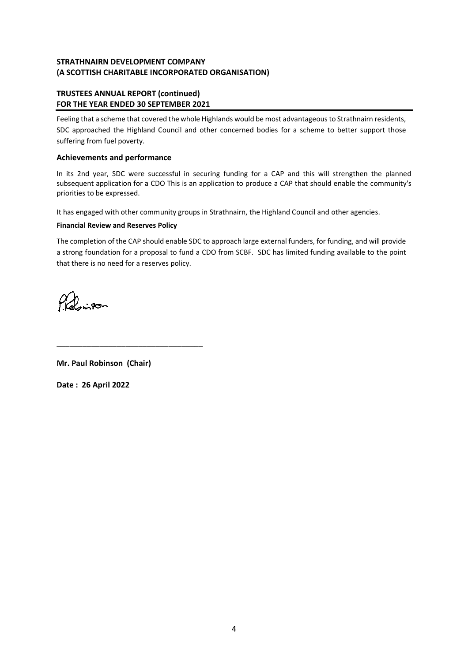# **TRUSTEES ANNUAL REPORT (continued) FOR THE YEAR ENDED 30 SEPTEMBER 2021**

Feeling that a scheme that covered the whole Highlands would be most advantageous to Strathnairn residents, SDC approached the Highland Council and other concerned bodies for a scheme to better support those suffering from fuel poverty.

## **Achievements and performance**

In its 2nd year, SDC were successful in securing funding for a CAP and this will strengthen the planned subsequent application for a CDO This is an application to produce a CAP that should enable the community's priorities to be expressed.

It has engaged with other community groups in Strathnairn, the Highland Council and other agencies.

## **Financial Review and Reserves Policy**

The completion of the CAP should enable SDC to approach large external funders, for funding, and will provide a strong foundation for a proposal to fund a CDO from SCBF. SDC has limited funding available to the point that there is no need for a reserves policy.

Pholosipon

**Mr. Paul Robinson (Chair)**

\_\_\_\_\_\_\_\_\_\_\_\_\_\_\_\_\_\_\_\_\_\_\_\_\_\_\_\_\_\_\_\_\_\_

**Date : 26 April 2022**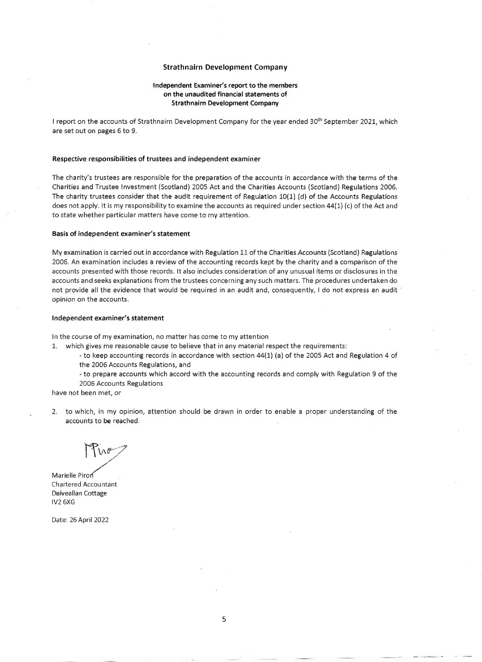### **Strathnairn Development Company**

#### Independent Examiner's report to the members on the unaudited financial statements of **Strathnairn Development Company**

I report on the accounts of Strathnairn Development Company for the year ended 30<sup>th</sup> September 2021, which are set out on pages 6 to 9.

#### Respective responsibilities of trustees and independent examiner

The charity's trustees are responsible for the preparation of the accounts in accordance with the terms of the Charities and Trustee Investment (Scotland) 2005 Act and the Charities Accounts (Scotland) Regulations 2006. The charity trustees consider that the audit requirement of Regulation  $10(1)$  (d) of the Accounts Regulations does not apply. It is my responsibility to examine the accounts as required under section 44(1) (c) of the Act and to state whether particular matters have come to my attention.

#### Basis of independent examiner's statement

My examination is carried out in accordance with Regulation 11 of the Charities Accounts (Scotland) Regulations 2006. An examination includes a review of the accounting records kept by the charity and a comparison of the accounts presented with those records. It also includes consideration of any unusual items or disclosures in the accounts and seeks explanations from the trustees concerning any such matters. The procedures undertaken do not provide all the evidence that would be required in an audit and, consequently, I do not express an audit opinion on the accounts.

#### Independent examiner's statement

In the course of my examination, no matter has come to my attention

- 1. which gives me reasonable cause to believe that in any material respect the requirements:
	- to keep accounting records in accordance with section 44(1) (a) of the 2005 Act and Regulation 4 of the 2006 Accounts Regulations, and
	- to prepare accounts which accord with the accounting records and comply with Regulation 9 of the 2006 Accounts Regulations

have not been met, or

2. to which, in my opinion, attention should be drawn in order to enable a proper understanding of the accounts to be reached.

Marielle Piron **Chartered Accountant** Dalveallan Cottage IV2 6XG

Date: 26 April 2022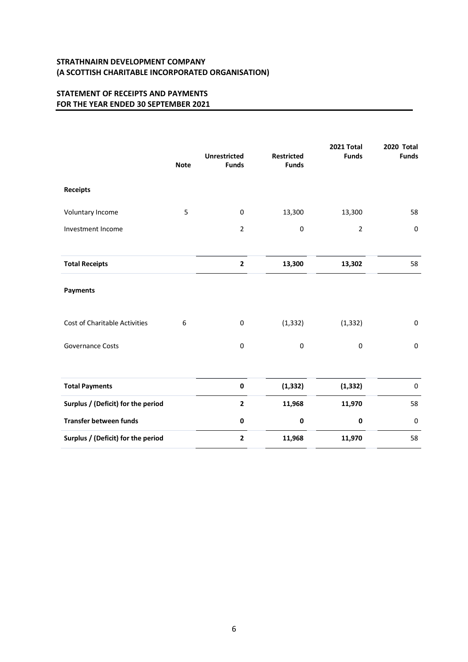# **STATEMENT OF RECEIPTS AND PAYMENTS FOR THE YEAR ENDED 30 SEPTEMBER 2021**

|                                    | <b>Note</b> | <b>Unrestricted</b><br><b>Funds</b> | <b>Restricted</b><br><b>Funds</b> | 2021 Total<br><b>Funds</b> | <b>2020 Total</b><br><b>Funds</b> |
|------------------------------------|-------------|-------------------------------------|-----------------------------------|----------------------------|-----------------------------------|
| <b>Receipts</b>                    |             |                                     |                                   |                            |                                   |
| Voluntary Income                   | 5           | $\boldsymbol{0}$                    | 13,300                            | 13,300                     | 58                                |
| Investment Income                  |             | $\overline{2}$                      | $\mathbf 0$                       | $\overline{2}$             | $\pmb{0}$                         |
|                                    |             |                                     |                                   |                            |                                   |
| <b>Total Receipts</b>              |             | $\mathbf 2$                         | 13,300                            | 13,302                     | 58                                |
| Payments                           |             |                                     |                                   |                            |                                   |
| Cost of Charitable Activities      | 6           | $\boldsymbol{0}$                    | (1, 332)                          | (1, 332)                   | $\boldsymbol{0}$                  |
| <b>Governance Costs</b>            |             | $\boldsymbol{0}$                    | $\boldsymbol{0}$                  | 0                          | $\boldsymbol{0}$                  |
|                                    |             |                                     |                                   |                            |                                   |
| <b>Total Payments</b>              |             | $\pmb{0}$                           | (1, 332)                          | (1, 332)                   | $\pmb{0}$                         |
| Surplus / (Deficit) for the period |             | $\mathbf{2}$                        | 11,968                            | 11,970                     | 58                                |
| Transfer between funds             |             | $\pmb{0}$                           | 0                                 | 0                          | $\pmb{0}$                         |
| Surplus / (Deficit) for the period |             | $\overline{\mathbf{2}}$             | 11,968                            | 11,970                     | 58                                |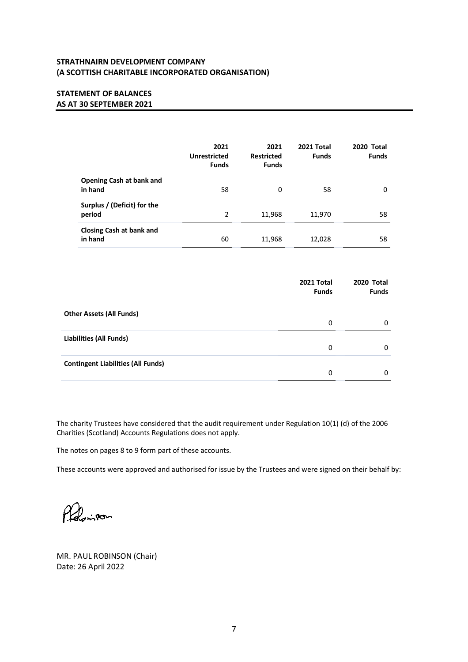# **STATEMENT OF BALANCES AS AT 30 SEPTEMBER 2021**

|                                            | 2021<br><b>Unrestricted</b><br><b>Funds</b> | 2021<br><b>Restricted</b><br><b>Funds</b> | 2021 Total<br><b>Funds</b> | <b>2020 Total</b><br><b>Funds</b> |
|--------------------------------------------|---------------------------------------------|-------------------------------------------|----------------------------|-----------------------------------|
| <b>Opening Cash at bank and</b><br>in hand | 58                                          | 0                                         | 58                         | 0                                 |
| Surplus / (Deficit) for the<br>period      | 2                                           | 11,968                                    | 11,970                     | 58                                |
| Closing Cash at bank and<br>in hand        | 60                                          | 11,968                                    | 12,028                     | 58                                |

|                                           | 2021 Total<br><b>Funds</b> | 2020 Total<br><b>Funds</b> |
|-------------------------------------------|----------------------------|----------------------------|
| <b>Other Assets (All Funds)</b>           | 0                          | 0                          |
| Liabilities (All Funds)                   | 0                          | 0                          |
| <b>Contingent Liabilities (All Funds)</b> | 0                          | 0                          |

The charity Trustees have considered that the audit requirement under Regulation 10(1) (d) of the 2006 Charities (Scotland) Accounts Regulations does not apply.

The notes on pages 8 to 9 form part of these accounts.

These accounts were approved and authorised for issue by the Trustees and were signed on their behalf by:

Probinson

MR. PAUL ROBINSON (Chair) Date: 26 April 2022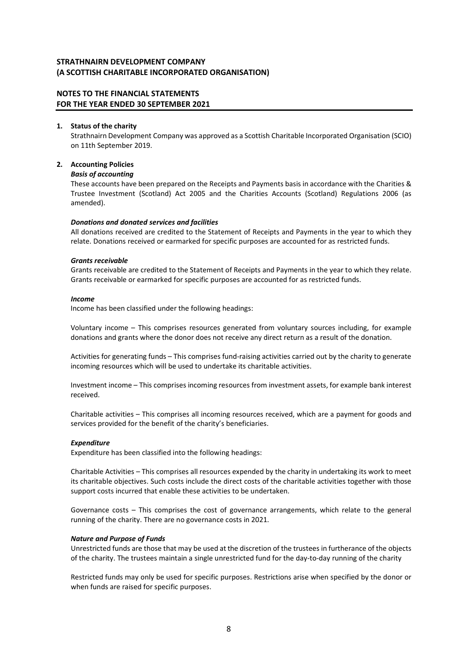## **NOTES TO THE FINANCIAL STATEMENTS FOR THE YEAR ENDED 30 SEPTEMBER 2021**

### **1. Status of the charity**

Strathnairn Development Company was approved as a Scottish Charitable Incorporated Organisation (SCIO) on 11th September 2019.

## **2. Accounting Policies**

### *Basis of accounting*

These accounts have been prepared on the Receipts and Payments basis in accordance with the Charities & Trustee Investment (Scotland) Act 2005 and the Charities Accounts (Scotland) Regulations 2006 (as amended).

### *Donations and donated services and facilities*

All donations received are credited to the Statement of Receipts and Payments in the year to which they relate. Donations received or earmarked for specific purposes are accounted for as restricted funds.

### *Grants receivable*

Grants receivable are credited to the Statement of Receipts and Payments in the year to which they relate. Grants receivable or earmarked for specific purposes are accounted for as restricted funds.

### *Income*

Income has been classified under the following headings:

Voluntary income – This comprises resources generated from voluntary sources including, for example donations and grants where the donor does not receive any direct return as a result of the donation.

Activities for generating funds – This comprises fund-raising activities carried out by the charity to generate incoming resources which will be used to undertake its charitable activities.

Investment income – This comprises incoming resources from investment assets, for example bank interest received.

Charitable activities – This comprises all incoming resources received, which are a payment for goods and services provided for the benefit of the charity's beneficiaries.

### *Expenditure*

Expenditure has been classified into the following headings:

Charitable Activities – This comprises all resources expended by the charity in undertaking its work to meet its charitable objectives. Such costs include the direct costs of the charitable activities together with those support costs incurred that enable these activities to be undertaken.

Governance costs – This comprises the cost of governance arrangements, which relate to the general running of the charity. There are no governance costs in 2021.

### *Nature and Purpose of Funds*

Unrestricted funds are those that may be used at the discretion of the trustees in furtherance of the objects of the charity. The trustees maintain a single unrestricted fund for the day-to-day running of the charity

Restricted funds may only be used for specific purposes. Restrictions arise when specified by the donor or when funds are raised for specific purposes.